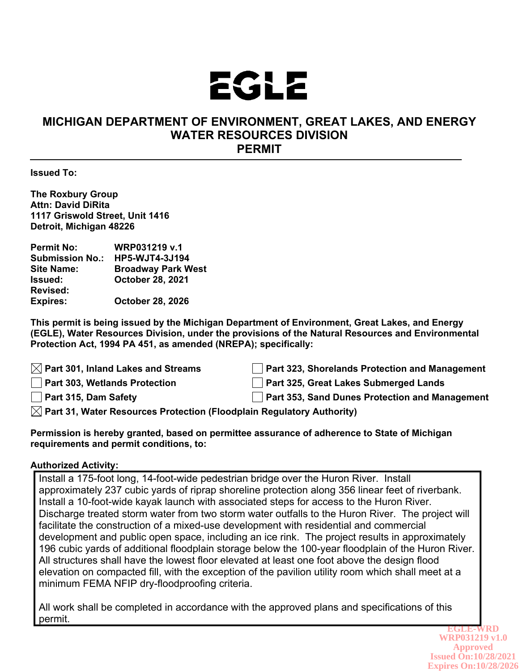

## **MICHIGAN DEPARTMENT OF ENVIRONMENT, GREAT LAKES, AND ENERGY WATER RESOURCES DIVISION PERMIT**

**Issued To:**

**The Roxbury Group Attn: David DiRita 1117 Griswold Street, Unit 1416 Detroit, Michigan 48226**

| <b>Permit No:</b>      | <b>WRP031219 v.1</b>      |
|------------------------|---------------------------|
| <b>Submission No.:</b> | <b>HP5-WJT4-3J194</b>     |
| <b>Site Name:</b>      | <b>Broadway Park West</b> |
| Issued:                | <b>October 28, 2021</b>   |
| <b>Revised:</b>        |                           |
| <b>Expires:</b>        | <b>October 28, 2026</b>   |

**This permit is being issued by the Michigan Department of Environment, Great Lakes, and Energy (EGLE), Water Resources Division, under the provisions of the Natural Resources and Environmental Protection Act, 1994 PA 451, as amended (NREPA); specifically:**

 $\boxtimes$  Part 301, Inland Lakes and Streams  $\parallel$  Part 323, Shorelands Protection and Management **Part 303, Wetlands Protection Part 325, Great Lakes Submerged Lands Part 315, Dam Safety Part 353, Sand Dunes Protection and Management Part 31, Water Resources Protection (Floodplain Regulatory Authority)**

**Permission is hereby granted, based on permittee assurance of adherence to State of Michigan requirements and permit conditions, to:**

## **Authorized Activity:**

Install a 175-foot long, 14-foot-wide pedestrian bridge over the Huron River. Install approximately 237 cubic yards of riprap shoreline protection along 356 linear feet of riverbank. Install a 10-foot-wide kayak launch with associated steps for access to the Huron River. Discharge treated storm water from two storm water outfalls to the Huron River. The project will facilitate the construction of a mixed-use development with residential and commercial development and public open space, including an ice rink. The project results in approximately 196 cubic yards of additional floodplain storage below the 100-year floodplain of the Huron River. All structures shall have the lowest floor elevated at least one foot above the design flood elevation on compacted fill, with the exception of the pavilion utility room which shall meet at a minimum FEMA NFIP dry-floodproofing criteria.

All work shall be completed in accordance with the approved plans and specifications of this permit.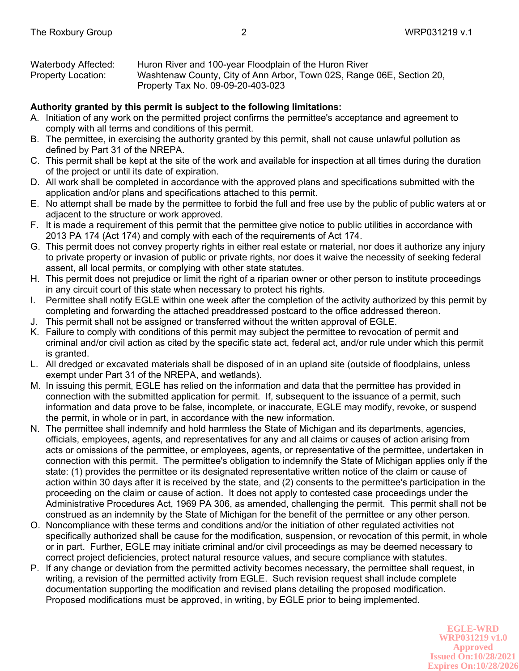| Waterbody Affected:       | Huron River and 100-year Floodplain of the Huron River                |
|---------------------------|-----------------------------------------------------------------------|
| <b>Property Location:</b> | Washtenaw County, City of Ann Arbor, Town 02S, Range 06E, Section 20, |
|                           | Property Tax No. 09-09-20-403-023                                     |

## **Authority granted by this permit is subject to the following limitations:**

- A. Initiation of any work on the permitted project confirms the permittee's acceptance and agreement to comply with all terms and conditions of this permit.
- B. The permittee, in exercising the authority granted by this permit, shall not cause unlawful pollution as defined by Part 31 of the NREPA.
- C. This permit shall be kept at the site of the work and available for inspection at all times during the duration of the project or until its date of expiration.
- D. All work shall be completed in accordance with the approved plans and specifications submitted with the application and/or plans and specifications attached to this permit.
- E. No attempt shall be made by the permittee to forbid the full and free use by the public of public waters at or adjacent to the structure or work approved.
- F. It is made a requirement of this permit that the permittee give notice to public utilities in accordance with 2013 PA 174 (Act 174) and comply with each of the requirements of Act 174.
- G. This permit does not convey property rights in either real estate or material, nor does it authorize any injury to private property or invasion of public or private rights, nor does it waive the necessity of seeking federal assent, all local permits, or complying with other state statutes.
- H. This permit does not prejudice or limit the right of a riparian owner or other person to institute proceedings in any circuit court of this state when necessary to protect his rights.
- I. Permittee shall notify EGLE within one week after the completion of the activity authorized by this permit by completing and forwarding the attached preaddressed postcard to the office addressed thereon.
- J. This permit shall not be assigned or transferred without the written approval of EGLE.
- K. Failure to comply with conditions of this permit may subject the permittee to revocation of permit and criminal and/or civil action as cited by the specific state act, federal act, and/or rule under which this permit is granted.
- L. All dredged or excavated materials shall be disposed of in an upland site (outside of floodplains, unless exempt under Part 31 of the NREPA, and wetlands).
- M. In issuing this permit, EGLE has relied on the information and data that the permittee has provided in connection with the submitted application for permit. If, subsequent to the issuance of a permit, such information and data prove to be false, incomplete, or inaccurate, EGLE may modify, revoke, or suspend the permit, in whole or in part, in accordance with the new information.
- N. The permittee shall indemnify and hold harmless the State of Michigan and its departments, agencies, officials, employees, agents, and representatives for any and all claims or causes of action arising from acts or omissions of the permittee, or employees, agents, or representative of the permittee, undertaken in connection with this permit. The permittee's obligation to indemnify the State of Michigan applies only if the state: (1) provides the permittee or its designated representative written notice of the claim or cause of action within 30 days after it is received by the state, and (2) consents to the permittee's participation in the proceeding on the claim or cause of action. It does not apply to contested case proceedings under the Administrative Procedures Act, 1969 PA 306, as amended, challenging the permit. This permit shall not be construed as an indemnity by the State of Michigan for the benefit of the permittee or any other person.
- O. Noncompliance with these terms and conditions and/or the initiation of other regulated activities not specifically authorized shall be cause for the modification, suspension, or revocation of this permit, in whole or in part. Further, EGLE may initiate criminal and/or civil proceedings as may be deemed necessary to correct project deficiencies, protect natural resource values, and secure compliance with statutes.
- P. If any change or deviation from the permitted activity becomes necessary, the permittee shall request, in writing, a revision of the permitted activity from EGLE. Such revision request shall include complete documentation supporting the modification and revised plans detailing the proposed modification. Proposed modifications must be approved, in writing, by EGLE prior to being implemented.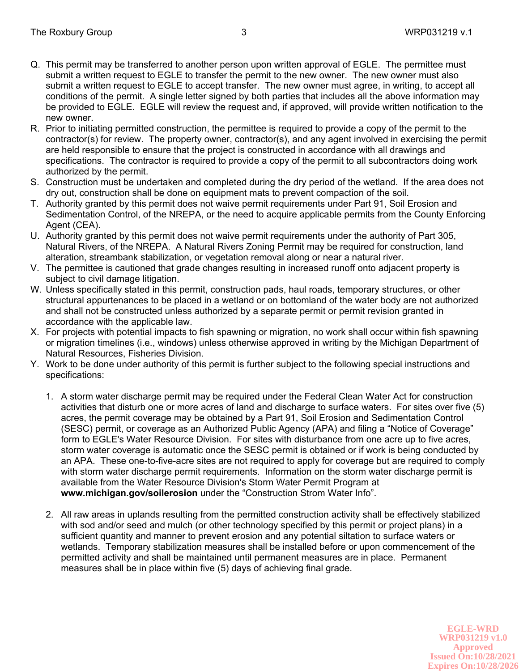- Q. This permit may be transferred to another person upon written approval of EGLE. The permittee must submit a written request to EGLE to transfer the permit to the new owner. The new owner must also submit a written request to EGLE to accept transfer. The new owner must agree, in writing, to accept all conditions of the permit. A single letter signed by both parties that includes all the above information may be provided to EGLE. EGLE will review the request and, if approved, will provide written notification to the new owner.
- R. Prior to initiating permitted construction, the permittee is required to provide a copy of the permit to the contractor(s) for review. The property owner, contractor(s), and any agent involved in exercising the permit are held responsible to ensure that the project is constructed in accordance with all drawings and specifications. The contractor is required to provide a copy of the permit to all subcontractors doing work authorized by the permit.
- S. Construction must be undertaken and completed during the dry period of the wetland. If the area does not dry out, construction shall be done on equipment mats to prevent compaction of the soil.
- T. Authority granted by this permit does not waive permit requirements under Part 91, Soil Erosion and Sedimentation Control, of the NREPA, or the need to acquire applicable permits from the County Enforcing Agent (CEA).
- U. Authority granted by this permit does not waive permit requirements under the authority of Part 305, Natural Rivers, of the NREPA. A Natural Rivers Zoning Permit may be required for construction, land alteration, streambank stabilization, or vegetation removal along or near a natural river.
- V. The permittee is cautioned that grade changes resulting in increased runoff onto adjacent property is subject to civil damage litigation.
- W. Unless specifically stated in this permit, construction pads, haul roads, temporary structures, or other structural appurtenances to be placed in a wetland or on bottomland of the water body are not authorized and shall not be constructed unless authorized by a separate permit or permit revision granted in accordance with the applicable law.
- X. For projects with potential impacts to fish spawning or migration, no work shall occur within fish spawning or migration timelines (i.e., windows) unless otherwise approved in writing by the Michigan Department of Natural Resources, Fisheries Division.
- Y. Work to be done under authority of this permit is further subject to the following special instructions and specifications:
	- 1. A storm water discharge permit may be required under the Federal Clean Water Act for construction activities that disturb one or more acres of land and discharge to surface waters. For sites over five (5) acres, the permit coverage may be obtained by a Part 91, Soil Erosion and Sedimentation Control (SESC) permit, or coverage as an Authorized Public Agency (APA) and filing a "Notice of Coverage" form to EGLE's Water Resource Division. For sites with disturbance from one acre up to five acres, storm water coverage is automatic once the SESC permit is obtained or if work is being conducted by an APA. These one-to-five-acre sites are not required to apply for coverage but are required to comply with storm water discharge permit requirements. Information on the storm water discharge permit is available from the Water Resource Division's Storm Water Permit Program at **www.michigan.gov/soilerosion** under the "Construction Strom Water Info".
	- 2. All raw areas in uplands resulting from the permitted construction activity shall be effectively stabilized with sod and/or seed and mulch (or other technology specified by this permit or project plans) in a sufficient quantity and manner to prevent erosion and any potential siltation to surface waters or wetlands. Temporary stabilization measures shall be installed before or upon commencement of the permitted activity and shall be maintained until permanent measures are in place. Permanent measures shall be in place within five (5) days of achieving final grade.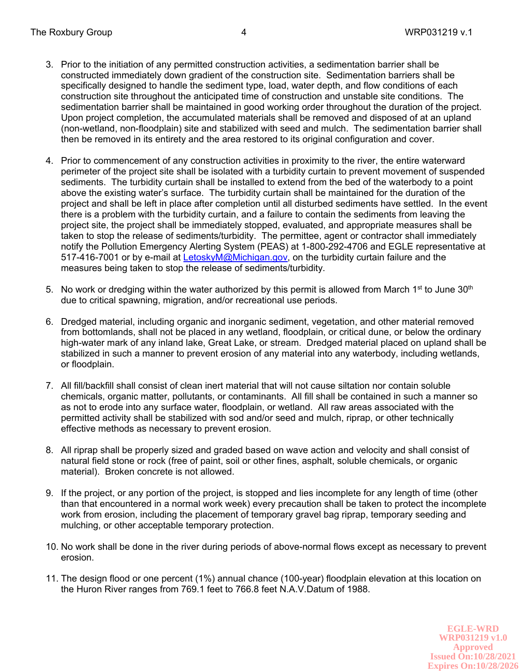- 3. Prior to the initiation of any permitted construction activities, a sedimentation barrier shall be constructed immediately down gradient of the construction site. Sedimentation barriers shall be specifically designed to handle the sediment type, load, water depth, and flow conditions of each construction site throughout the anticipated time of construction and unstable site conditions. The sedimentation barrier shall be maintained in good working order throughout the duration of the project. Upon project completion, the accumulated materials shall be removed and disposed of at an upland (non-wetland, non-floodplain) site and stabilized with seed and mulch. The sedimentation barrier shall then be removed in its entirety and the area restored to its original configuration and cover.
- 4. Prior to commencement of any construction activities in proximity to the river, the entire waterward perimeter of the project site shall be isolated with a turbidity curtain to prevent movement of suspended sediments. The turbidity curtain shall be installed to extend from the bed of the waterbody to a point above the existing water's surface. The turbidity curtain shall be maintained for the duration of the project and shall be left in place after completion until all disturbed sediments have settled. In the event there is a problem with the turbidity curtain, and a failure to contain the sediments from leaving the project site, the project shall be immediately stopped, evaluated, and appropriate measures shall be taken to stop the release of sediments/turbidity. The permittee, agent or contractor shall immediately notify the Pollution Emergency Alerting System (PEAS) at 1-800-292-4706 and EGLE representative at 517-416-7001 or by e-mail at LetoskyM@Michigan.gov, on the turbidity curtain failure and the measures being taken to stop the release of sediments/turbidity.
- 5. No work or dredging within the water authorized by this permit is allowed from March 1<sup>st</sup> to June 30<sup>th</sup> due to critical spawning, migration, and/or recreational use periods.
- 6. Dredged material, including organic and inorganic sediment, vegetation, and other material removed from bottomlands, shall not be placed in any wetland, floodplain, or critical dune, or below the ordinary high-water mark of any inland lake, Great Lake, or stream. Dredged material placed on upland shall be stabilized in such a manner to prevent erosion of any material into any waterbody, including wetlands, or floodplain.
- 7. All fill/backfill shall consist of clean inert material that will not cause siltation nor contain soluble chemicals, organic matter, pollutants, or contaminants. All fill shall be contained in such a manner so as not to erode into any surface water, floodplain, or wetland. All raw areas associated with the permitted activity shall be stabilized with sod and/or seed and mulch, riprap, or other technically effective methods as necessary to prevent erosion.
- 8. All riprap shall be properly sized and graded based on wave action and velocity and shall consist of natural field stone or rock (free of paint, soil or other fines, asphalt, soluble chemicals, or organic material). Broken concrete is not allowed.
- 9. If the project, or any portion of the project, is stopped and lies incomplete for any length of time (other than that encountered in a normal work week) every precaution shall be taken to protect the incomplete work from erosion, including the placement of temporary gravel bag riprap, temporary seeding and mulching, or other acceptable temporary protection.
- 10. No work shall be done in the river during periods of above-normal flows except as necessary to prevent erosion.
- 11. The design flood or one percent (1%) annual chance (100-year) floodplain elevation at this location on the Huron River ranges from 769.1 feet to 766.8 feet N.A.V.Datum of 1988.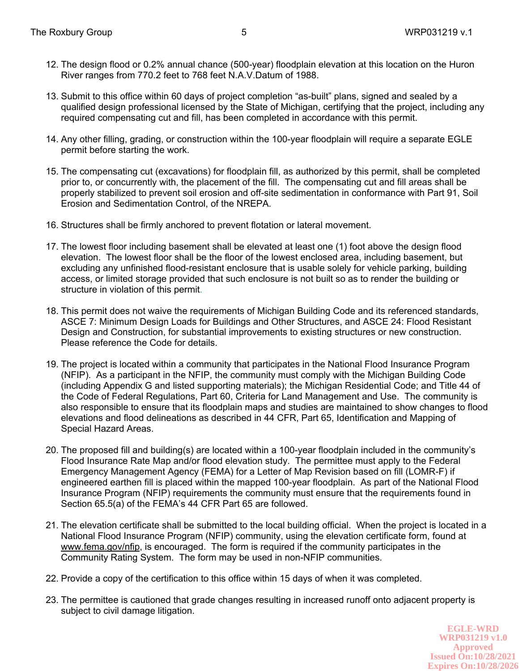- 12. The design flood or 0.2% annual chance (500-year) floodplain elevation at this location on the Huron River ranges from 770.2 feet to 768 feet N.A.V.Datum of 1988.
- 13. Submit to this office within 60 days of project completion "as-built" plans, signed and sealed by a qualified design professional licensed by the State of Michigan, certifying that the project, including any required compensating cut and fill, has been completed in accordance with this permit.
- 14. Any other filling, grading, or construction within the 100-year floodplain will require a separate EGLE permit before starting the work.
- 15. The compensating cut (excavations) for floodplain fill, as authorized by this permit, shall be completed prior to, or concurrently with, the placement of the fill. The compensating cut and fill areas shall be properly stabilized to prevent soil erosion and off-site sedimentation in conformance with Part 91, Soil Erosion and Sedimentation Control, of the NREPA.
- 16. Structures shall be firmly anchored to prevent flotation or lateral movement.
- 17. The lowest floor including basement shall be elevated at least one (1) foot above the design flood elevation. The lowest floor shall be the floor of the lowest enclosed area, including basement, but excluding any unfinished flood-resistant enclosure that is usable solely for vehicle parking, building access, or limited storage provided that such enclosure is not built so as to render the building or structure in violation of this permit.
- 18. This permit does not waive the requirements of Michigan Building Code and its referenced standards, ASCE 7: Minimum Design Loads for Buildings and Other Structures, and ASCE 24: Flood Resistant Design and Construction, for substantial improvements to existing structures or new construction. Please reference the Code for details.
- 19. The project is located within a community that participates in the National Flood Insurance Program (NFIP). As a participant in the NFIP, the community must comply with the Michigan Building Code (including Appendix G and listed supporting materials); the Michigan Residential Code; and Title 44 of the Code of Federal Regulations, Part 60, Criteria for Land Management and Use. The community is also responsible to ensure that its floodplain maps and studies are maintained to show changes to flood elevations and flood delineations as described in 44 CFR, Part 65, Identification and Mapping of Special Hazard Areas.
- 20. The proposed fill and building(s) are located within a 100-year floodplain included in the community's Flood Insurance Rate Map and/or flood elevation study. The permittee must apply to the Federal Emergency Management Agency (FEMA) for a Letter of Map Revision based on fill (LOMR-F) if engineered earthen fill is placed within the mapped 100-year floodplain. As part of the National Flood Insurance Program (NFIP) requirements the community must ensure that the requirements found in Section 65.5(a) of the FEMA's 44 CFR Part 65 are followed.
- 21. The elevation certificate shall be submitted to the local building official. When the project is located in a National Flood Insurance Program (NFIP) community, using the elevation certificate form, found at www.fema.gov/nfip, is encouraged. The form is required if the community participates in the Community Rating System. The form may be used in non-NFIP communities.
- 22. Provide a copy of the certification to this office within 15 days of when it was completed.
- 23. The permittee is cautioned that grade changes resulting in increased runoff onto adjacent property is subject to civil damage litigation.